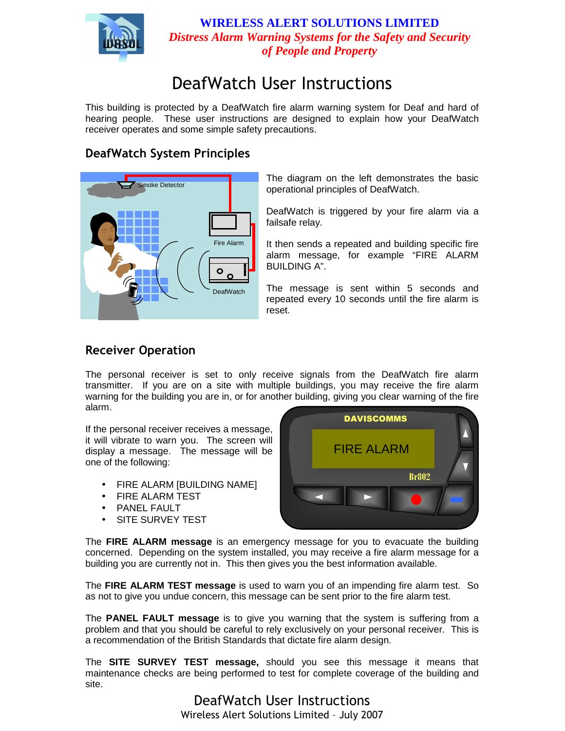

**WIRELESS ALERT SOLUTIONS LIMITED**  *Distress Alarm Warning Systems for the Safety and Security of People and Property* 

# DeafWatch User Instructions

This building is protected by a DeafWatch fire alarm warning system for Deaf and hard of hearing people. These user instructions are designed to explain how your DeafWatch receiver operates and some simple safety precautions.

## DeafWatch System Principles



The diagram on the left demonstrates the basic operational principles of DeafWatch.

DeafWatch is triggered by your fire alarm via a failsafe relay.

It then sends a repeated and building specific fire alarm message, for example "FIRE ALARM BUILDING A".

The message is sent within 5 seconds and repeated every 10 seconds until the fire alarm is reset.

### Receiver Operation

The personal receiver is set to only receive signals from the DeafWatch fire alarm transmitter. If you are on a site with multiple buildings, you may receive the fire alarm warning for the building you are in, or for another building, giving you clear warning of the fire alarm.

If the personal receiver receives a message, it will vibrate to warn you. The screen will display a message. The message will be one of the following:

- FIRE ALARM [BUILDING NAME]
- FIRE ALARM TEST
- PANEL FAULT
- SITE SURVEY TEST



The **FIRE ALARM message** is an emergency message for you to evacuate the building concerned. Depending on the system installed, you may receive a fire alarm message for a building you are currently not in. This then gives you the best information available.

The **FIRE ALARM TEST message** is used to warn you of an impending fire alarm test. So as not to give you undue concern, this message can be sent prior to the fire alarm test.

The **PANEL FAULT message** is to give you warning that the system is suffering from a problem and that you should be careful to rely exclusively on your personal receiver. This is a recommendation of the British Standards that dictate fire alarm design.

The **SITE SURVEY TEST message,** should you see this message it means that maintenance checks are being performed to test for complete coverage of the building and site.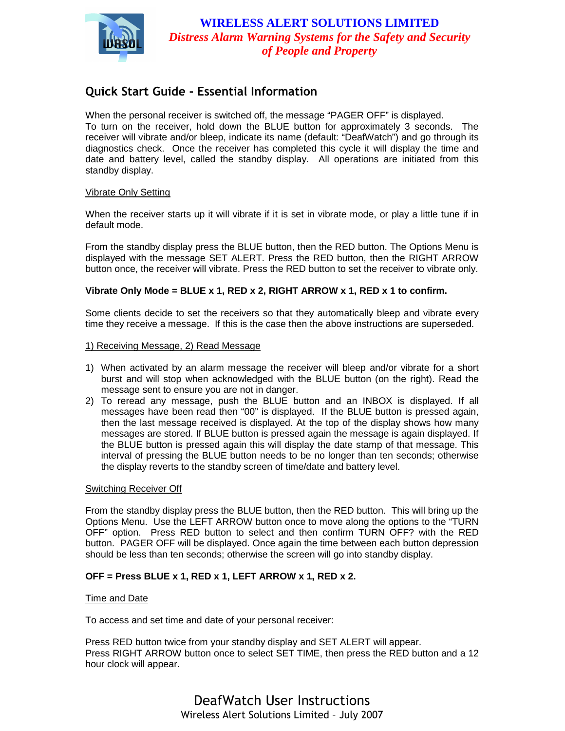

### Quick Start Guide - Essential Information

When the personal receiver is switched off, the message "PAGER OFF" is displayed. To turn on the receiver, hold down the BLUE button for approximately 3 seconds. The receiver will vibrate and/or bleep, indicate its name (default: "DeafWatch") and go through its diagnostics check. Once the receiver has completed this cycle it will display the time and date and battery level, called the standby display. All operations are initiated from this standby display.

#### Vibrate Only Setting

When the receiver starts up it will vibrate if it is set in vibrate mode, or play a little tune if in default mode.

From the standby display press the BLUE button, then the RED button. The Options Menu is displayed with the message SET ALERT. Press the RED button, then the RIGHT ARROW button once, the receiver will vibrate. Press the RED button to set the receiver to vibrate only.

#### **Vibrate Only Mode = BLUE x 1, RED x 2, RIGHT ARROW x 1, RED x 1 to confirm.**

Some clients decide to set the receivers so that they automatically bleep and vibrate every time they receive a message. If this is the case then the above instructions are superseded.

#### 1) Receiving Message, 2) Read Message

- 1) When activated by an alarm message the receiver will bleep and/or vibrate for a short burst and will stop when acknowledged with the BLUE button (on the right). Read the message sent to ensure you are not in danger.
- 2) To reread any message, push the BLUE button and an INBOX is displayed. If all messages have been read then "00" is displayed. If the BLUE button is pressed again, then the last message received is displayed. At the top of the display shows how many messages are stored. If BLUE button is pressed again the message is again displayed. If the BLUE button is pressed again this will display the date stamp of that message. This interval of pressing the BLUE button needs to be no longer than ten seconds; otherwise the display reverts to the standby screen of time/date and battery level.

#### Switching Receiver Off

From the standby display press the BLUE button, then the RED button. This will bring up the Options Menu. Use the LEFT ARROW button once to move along the options to the "TURN OFF" option. Press RED button to select and then confirm TURN OFF? with the RED button. PAGER OFF will be displayed. Once again the time between each button depression should be less than ten seconds; otherwise the screen will go into standby display.

#### **OFF = Press BLUE x 1, RED x 1, LEFT ARROW x 1, RED x 2.**

#### **Time and Date**

To access and set time and date of your personal receiver:

Press RED button twice from your standby display and SET ALERT will appear. Press RIGHT ARROW button once to select SET TIME, then press the RED button and a 12 hour clock will appear.